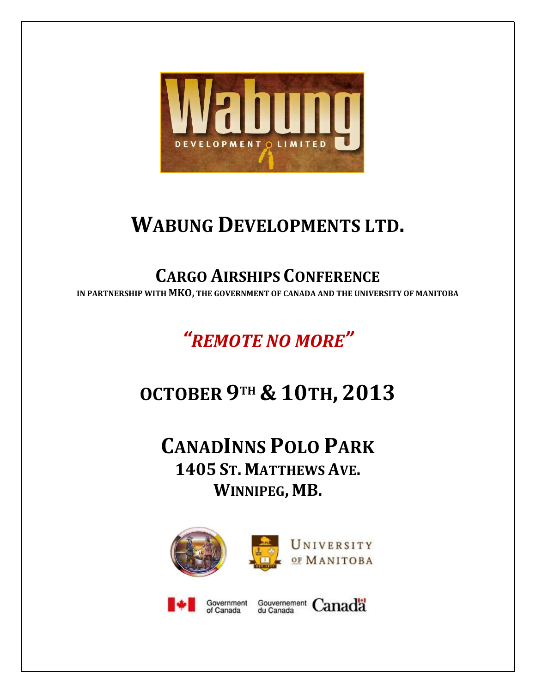

# **WABUNG DEVELOPMENTS LTD.**

# **CARGO AIRSHIPS CONFERENCE**

**IN PARTNERSHIP WITH MKO, THE GOVERNMENT OF CANADA AND THE UNIVERSITY OF MANITOBA**

*"REMOTE NO MORE"*

# **OCTOBER 9TH & 10TH, 2013**

**CANADINNS POLO PARK 1405 ST. MATTHEWS AVE. WINNIPEG, MB.**

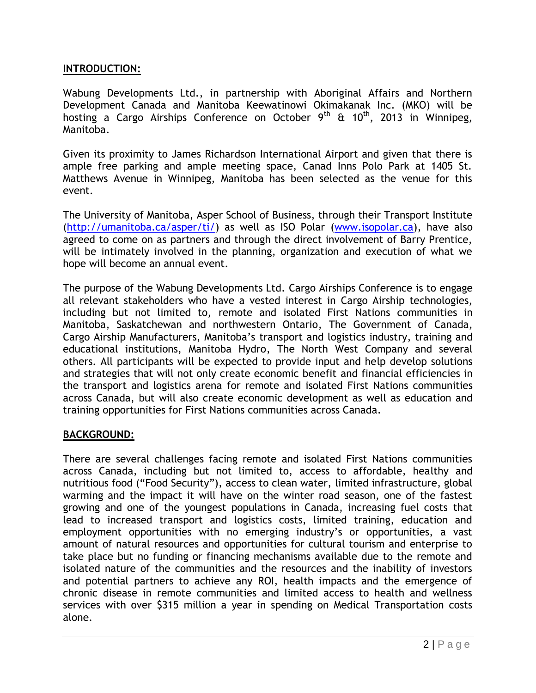### **INTRODUCTION:**

Wabung Developments Ltd., in partnership with Aboriginal Affairs and Northern Development Canada and Manitoba Keewatinowi Okimakanak Inc. (MKO) will be hosting a Cargo Airships Conference on October 9<sup>th</sup> & 10<sup>th</sup>, 2013 in Winnipeg, Manitoba.

Given its proximity to James Richardson International Airport and given that there is ample free parking and ample meeting space, Canad Inns Polo Park at 1405 St. Matthews Avenue in Winnipeg, Manitoba has been selected as the venue for this event.

The University of Manitoba, Asper School of Business, through their Transport Institute [\(http://umanitoba.ca/asper/ti/\)](http://umanitoba.ca/asper/ti/) as well as ISO Polar [\(www.isopolar.ca\)](http://www.isopolar.ca/), have also agreed to come on as partners and through the direct involvement of Barry Prentice, will be intimately involved in the planning, organization and execution of what we hope will become an annual event.

The purpose of the Wabung Developments Ltd. Cargo Airships Conference is to engage all relevant stakeholders who have a vested interest in Cargo Airship technologies, including but not limited to, remote and isolated First Nations communities in Manitoba, Saskatchewan and northwestern Ontario, The Government of Canada, Cargo Airship Manufacturers, Manitoba's transport and logistics industry, training and educational institutions, Manitoba Hydro, The North West Company and several others. All participants will be expected to provide input and help develop solutions and strategies that will not only create economic benefit and financial efficiencies in the transport and logistics arena for remote and isolated First Nations communities across Canada, but will also create economic development as well as education and training opportunities for First Nations communities across Canada.

#### **BACKGROUND:**

There are several challenges facing remote and isolated First Nations communities across Canada, including but not limited to, access to affordable, healthy and nutritious food ("Food Security"), access to clean water, limited infrastructure, global warming and the impact it will have on the winter road season, one of the fastest growing and one of the youngest populations in Canada, increasing fuel costs that lead to increased transport and logistics costs, limited training, education and employment opportunities with no emerging industry's or opportunities, a vast amount of natural resources and opportunities for cultural tourism and enterprise to take place but no funding or financing mechanisms available due to the remote and isolated nature of the communities and the resources and the inability of investors and potential partners to achieve any ROI, health impacts and the emergence of chronic disease in remote communities and limited access to health and wellness services with over \$315 million a year in spending on Medical Transportation costs alone.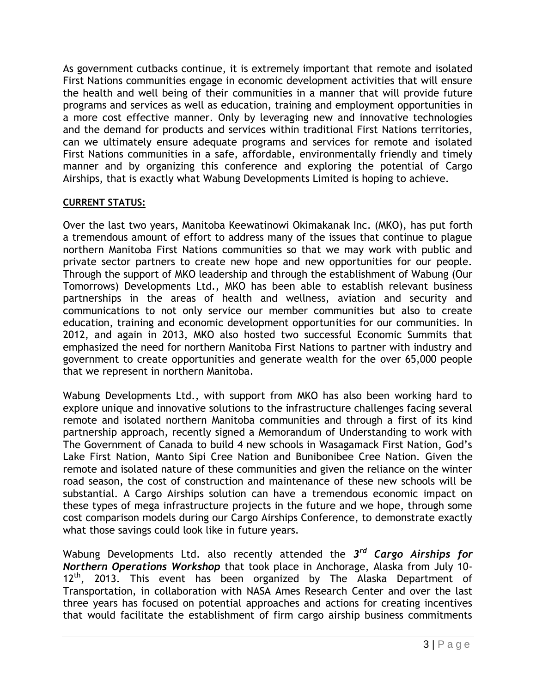As government cutbacks continue, it is extremely important that remote and isolated First Nations communities engage in economic development activities that will ensure the health and well being of their communities in a manner that will provide future programs and services as well as education, training and employment opportunities in a more cost effective manner. Only by leveraging new and innovative technologies and the demand for products and services within traditional First Nations territories, can we ultimately ensure adequate programs and services for remote and isolated First Nations communities in a safe, affordable, environmentally friendly and timely manner and by organizing this conference and exploring the potential of Cargo Airships, that is exactly what Wabung Developments Limited is hoping to achieve.

# **CURRENT STATUS:**

Over the last two years, Manitoba Keewatinowi Okimakanak Inc. (MKO), has put forth a tremendous amount of effort to address many of the issues that continue to plague northern Manitoba First Nations communities so that we may work with public and private sector partners to create new hope and new opportunities for our people. Through the support of MKO leadership and through the establishment of Wabung (Our Tomorrows) Developments Ltd., MKO has been able to establish relevant business partnerships in the areas of health and wellness, aviation and security and communications to not only service our member communities but also to create education, training and economic development opportunities for our communities. In 2012, and again in 2013, MKO also hosted two successful Economic Summits that emphasized the need for northern Manitoba First Nations to partner with industry and government to create opportunities and generate wealth for the over 65,000 people that we represent in northern Manitoba.

Wabung Developments Ltd., with support from MKO has also been working hard to explore unique and innovative solutions to the infrastructure challenges facing several remote and isolated northern Manitoba communities and through a first of its kind partnership approach, recently signed a Memorandum of Understanding to work with The Government of Canada to build 4 new schools in Wasagamack First Nation, God's Lake First Nation, Manto Sipi Cree Nation and Bunibonibee Cree Nation. Given the remote and isolated nature of these communities and given the reliance on the winter road season, the cost of construction and maintenance of these new schools will be substantial. A Cargo Airships solution can have a tremendous economic impact on these types of mega infrastructure projects in the future and we hope, through some cost comparison models during our Cargo Airships Conference, to demonstrate exactly what those savings could look like in future years.

Wabung Developments Ltd. also recently attended the *3 rd Cargo Airships for Northern Operations Workshop* that took place in Anchorage, Alaska from July 10- 12<sup>th</sup>, 2013. This event has been organized by The Alaska Department of Transportation, in collaboration with NASA Ames Research Center and over the last three years has focused on potential approaches and actions for creating incentives that would facilitate the establishment of firm cargo airship business commitments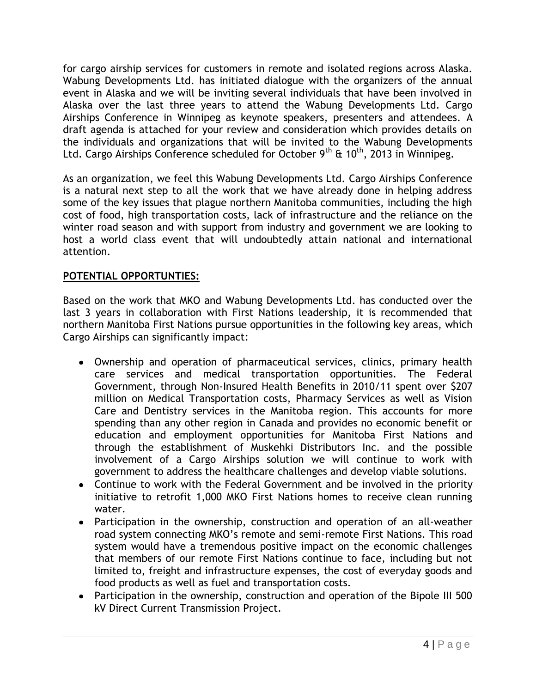for cargo airship services for customers in remote and isolated regions across Alaska. Wabung Developments Ltd. has initiated dialogue with the organizers of the annual event in Alaska and we will be inviting several individuals that have been involved in Alaska over the last three years to attend the Wabung Developments Ltd. Cargo Airships Conference in Winnipeg as keynote speakers, presenters and attendees. A draft agenda is attached for your review and consideration which provides details on the individuals and organizations that will be invited to the Wabung Developments Ltd. Cargo Airships Conference scheduled for October  $9<sup>th</sup>$  &  $10<sup>th</sup>$ , 2013 in Winnipeg.

As an organization, we feel this Wabung Developments Ltd. Cargo Airships Conference is a natural next step to all the work that we have already done in helping address some of the key issues that plague northern Manitoba communities, including the high cost of food, high transportation costs, lack of infrastructure and the reliance on the winter road season and with support from industry and government we are looking to host a world class event that will undoubtedly attain national and international attention.

# **POTENTIAL OPPORTUNTIES:**

Based on the work that MKO and Wabung Developments Ltd. has conducted over the last 3 years in collaboration with First Nations leadership, it is recommended that northern Manitoba First Nations pursue opportunities in the following key areas, which Cargo Airships can significantly impact:

- Ownership and operation of pharmaceutical services, clinics, primary health care services and medical transportation opportunities. The Federal Government, through Non-Insured Health Benefits in 2010/11 spent over \$207 million on Medical Transportation costs, Pharmacy Services as well as Vision Care and Dentistry services in the Manitoba region. This accounts for more spending than any other region in Canada and provides no economic benefit or education and employment opportunities for Manitoba First Nations and through the establishment of Muskehki Distributors Inc. and the possible involvement of a Cargo Airships solution we will continue to work with government to address the healthcare challenges and develop viable solutions.
- Continue to work with the Federal Government and be involved in the priority initiative to retrofit 1,000 MKO First Nations homes to receive clean running water.
- Participation in the ownership, construction and operation of an all-weather road system connecting MKO's remote and semi-remote First Nations. This road system would have a tremendous positive impact on the economic challenges that members of our remote First Nations continue to face, including but not limited to, freight and infrastructure expenses, the cost of everyday goods and food products as well as fuel and transportation costs.
- Participation in the ownership, construction and operation of the Bipole III 500 kV Direct Current Transmission Project.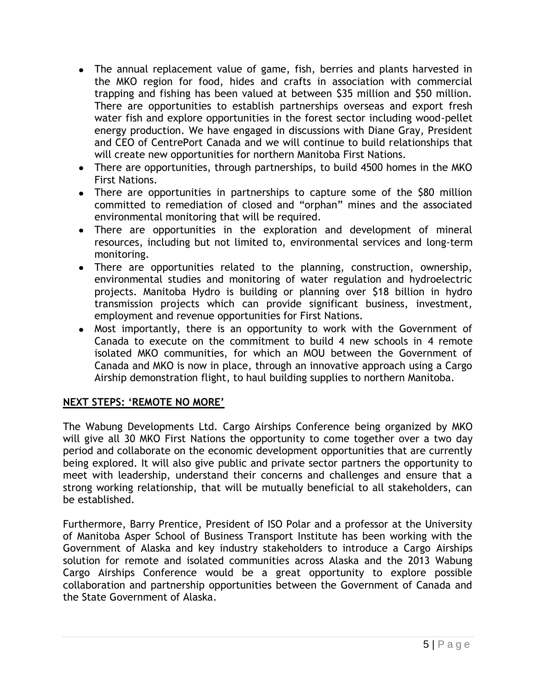- The annual replacement value of game, fish, berries and plants harvested in the MKO region for food, hides and crafts in association with commercial trapping and fishing has been valued at between \$35 million and \$50 million. There are opportunities to establish partnerships overseas and export fresh water fish and explore opportunities in the forest sector including wood-pellet energy production. We have engaged in discussions with Diane Gray, President and CEO of CentrePort Canada and we will continue to build relationships that will create new opportunities for northern Manitoba First Nations.
- There are opportunities, through partnerships, to build 4500 homes in the MKO First Nations.
- There are opportunities in partnerships to capture some of the \$80 million committed to remediation of closed and "orphan" mines and the associated environmental monitoring that will be required.
- There are opportunities in the exploration and development of mineral resources, including but not limited to, environmental services and long-term monitoring.
- There are opportunities related to the planning, construction, ownership, environmental studies and monitoring of water regulation and hydroelectric projects. Manitoba Hydro is building or planning over \$18 billion in hydro transmission projects which can provide significant business, investment, employment and revenue opportunities for First Nations.
- Most importantly, there is an opportunity to work with the Government of Canada to execute on the commitment to build 4 new schools in 4 remote isolated MKO communities, for which an MOU between the Government of Canada and MKO is now in place, through an innovative approach using a Cargo Airship demonstration flight, to haul building supplies to northern Manitoba.

# **NEXT STEPS: 'REMOTE NO MORE'**

The Wabung Developments Ltd. Cargo Airships Conference being organized by MKO will give all 30 MKO First Nations the opportunity to come together over a two day period and collaborate on the economic development opportunities that are currently being explored. It will also give public and private sector partners the opportunity to meet with leadership, understand their concerns and challenges and ensure that a strong working relationship, that will be mutually beneficial to all stakeholders, can be established.

Furthermore, Barry Prentice, President of ISO Polar and a professor at the University of Manitoba Asper School of Business Transport Institute has been working with the Government of Alaska and key industry stakeholders to introduce a Cargo Airships solution for remote and isolated communities across Alaska and the 2013 Wabung Cargo Airships Conference would be a great opportunity to explore possible collaboration and partnership opportunities between the Government of Canada and the State Government of Alaska.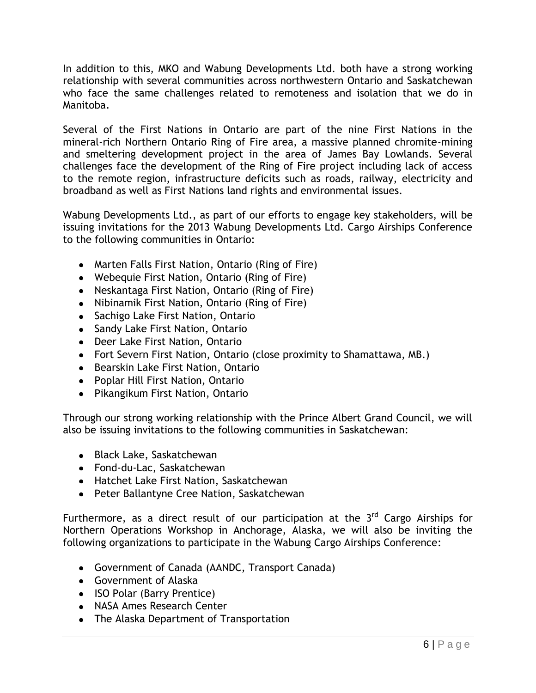In addition to this, MKO and Wabung Developments Ltd. both have a strong working relationship with several communities across northwestern Ontario and Saskatchewan who face the same challenges related to remoteness and isolation that we do in Manitoba.

Several of the First Nations in Ontario are part of the nine First Nations in the mineral-rich Northern Ontario Ring of Fire area, a massive planned chromite-mining and smeltering development project in the area of James Bay Lowlands. Several challenges face the development of the Ring of Fire project including lack of access to the remote region, infrastructure deficits such as roads, railway, electricity and broadband as well as First Nations land rights and environmental issues.

Wabung Developments Ltd., as part of our efforts to engage key stakeholders, will be issuing invitations for the 2013 Wabung Developments Ltd. Cargo Airships Conference to the following communities in Ontario:

- Marten Falls First Nation, Ontario (Ring of Fire)
- Webequie First Nation, Ontario (Ring of Fire)
- Neskantaga First Nation, Ontario (Ring of Fire)
- Nibinamik First Nation, Ontario (Ring of Fire)
- Sachigo Lake First Nation, Ontario
- Sandy Lake First Nation, Ontario
- Deer Lake First Nation, Ontario
- Fort Severn First Nation, Ontario (close proximity to Shamattawa, MB.)
- **•** Bearskin Lake First Nation, Ontario
- Poplar Hill First Nation, Ontario
- Pikangikum First Nation, Ontario

Through our strong working relationship with the Prince Albert Grand Council, we will also be issuing invitations to the following communities in Saskatchewan:

- Black Lake, Saskatchewan
- Fond-du-Lac, Saskatchewan
- Hatchet Lake First Nation, Saskatchewan
- Peter Ballantyne Cree Nation, Saskatchewan

Furthermore, as a direct result of our participation at the 3<sup>rd</sup> Cargo Airships for Northern Operations Workshop in Anchorage, Alaska, we will also be inviting the following organizations to participate in the Wabung Cargo Airships Conference:

- Government of Canada (AANDC, Transport Canada)
- Government of Alaska
- ISO Polar (Barry Prentice)
- NASA Ames Research Center
- The Alaska Department of Transportation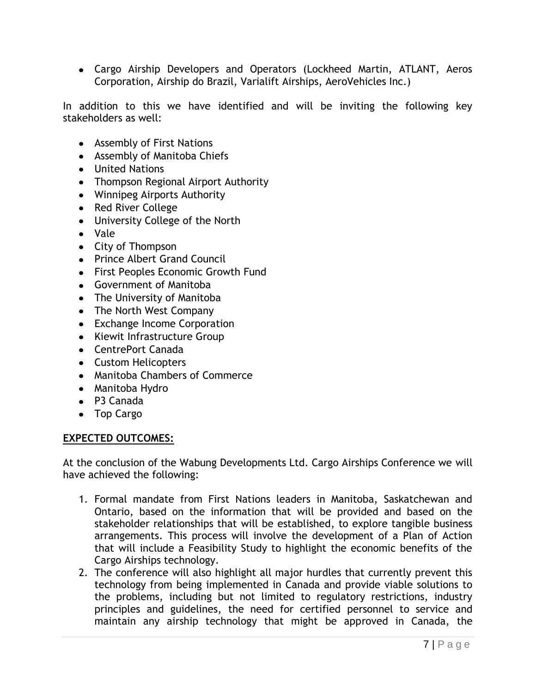Cargo Airship Developers and Operators (Lockheed Martin, ATLANT, Aeros Corporation, Airship do Brazil, Varialift Airships, AeroVehicles Inc.)

In addition to this we have identified and will be inviting the following key stakeholders as well:

- Assembly of First Nations
- Assembly of Manitoba Chiefs
- United Nations
- Thompson Regional Airport Authority
- Winnipeg Airports Authority
- Red River College
- University College of the North
- Vale
- City of Thompson
- Prince Albert Grand Council
- First Peoples Economic Growth Fund
- Government of Manitoba
- The University of Manitoba
- The North West Company
- Exchange Income Corporation
- Kiewit Infrastructure Group
- CentrePort Canada
- Custom Helicopters
- Manitoba Chambers of Commerce
- Manitoba Hydro
- P3 Canada
- Top Cargo

# **EXPECTED OUTCOMES:**

At the conclusion of the Wabung Developments Ltd. Cargo Airships Conference we will have achieved the following:

- 1. Formal mandate from First Nations leaders in Manitoba, Saskatchewan and Ontario, based on the information that will be provided and based on the stakeholder relationships that will be established, to explore tangible business arrangements. This process will involve the development of a Plan of Action that will include a Feasibility Study to highlight the economic benefits of the Cargo Airships technology.
- 2. The conference will also highlight all major hurdles that currently prevent this technology from being implemented in Canada and provide viable solutions to the problems, including but not limited to regulatory restrictions, industry principles and guidelines, the need for certified personnel to service and maintain any airship technology that might be approved in Canada, the